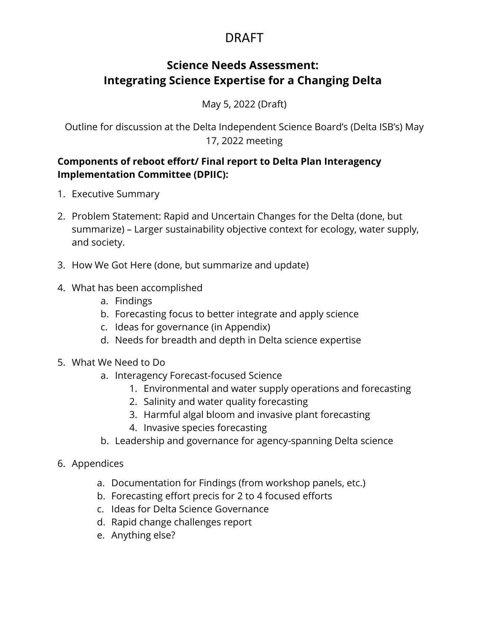## DRAFT

### **Science Needs Assessment: Integrating Science Expertise for a Changing Delta**

May 5, 2022 (Draft)

Outline for discussion at the Delta Independent Science Board's (Delta ISB's) May 17, 2022 meeting

### **Components of reboot effort/ Final report to Delta Plan Interagency Implementation Committee (DPIIC):**

- 1. Executive Summary
- 2. Problem Statement: Rapid and Uncertain Changes for the Delta (done, but summarize) – Larger sustainability objective context for ecology, water supply, and society.
- 3. How We Got Here (done, but summarize and update)
- 4. What has been accomplished
	- a. Findings
	- b. Forecasting focus to better integrate and apply science
	- c. Ideas for governance (in Appendix)
	- d. Needs for breadth and depth in Delta science expertise
- 5. What We Need to Do
	- a. Interagency Forecast-focused Science
		- 1. Environmental and water supply operations and forecasting
		- 2. Salinity and water quality forecasting
		- 3. Harmful algal bloom and invasive plant forecasting
		- 4. Invasive species forecasting
	- b. Leadership and governance for agency-spanning Delta science

#### 6. Appendices

- a. Documentation for Findings (from workshop panels, etc.)
- b. Forecasting effort precis for 2 to 4 focused efforts
- c. Ideas for Delta Science Governance
- d. Rapid change challenges report
- e. Anything else?